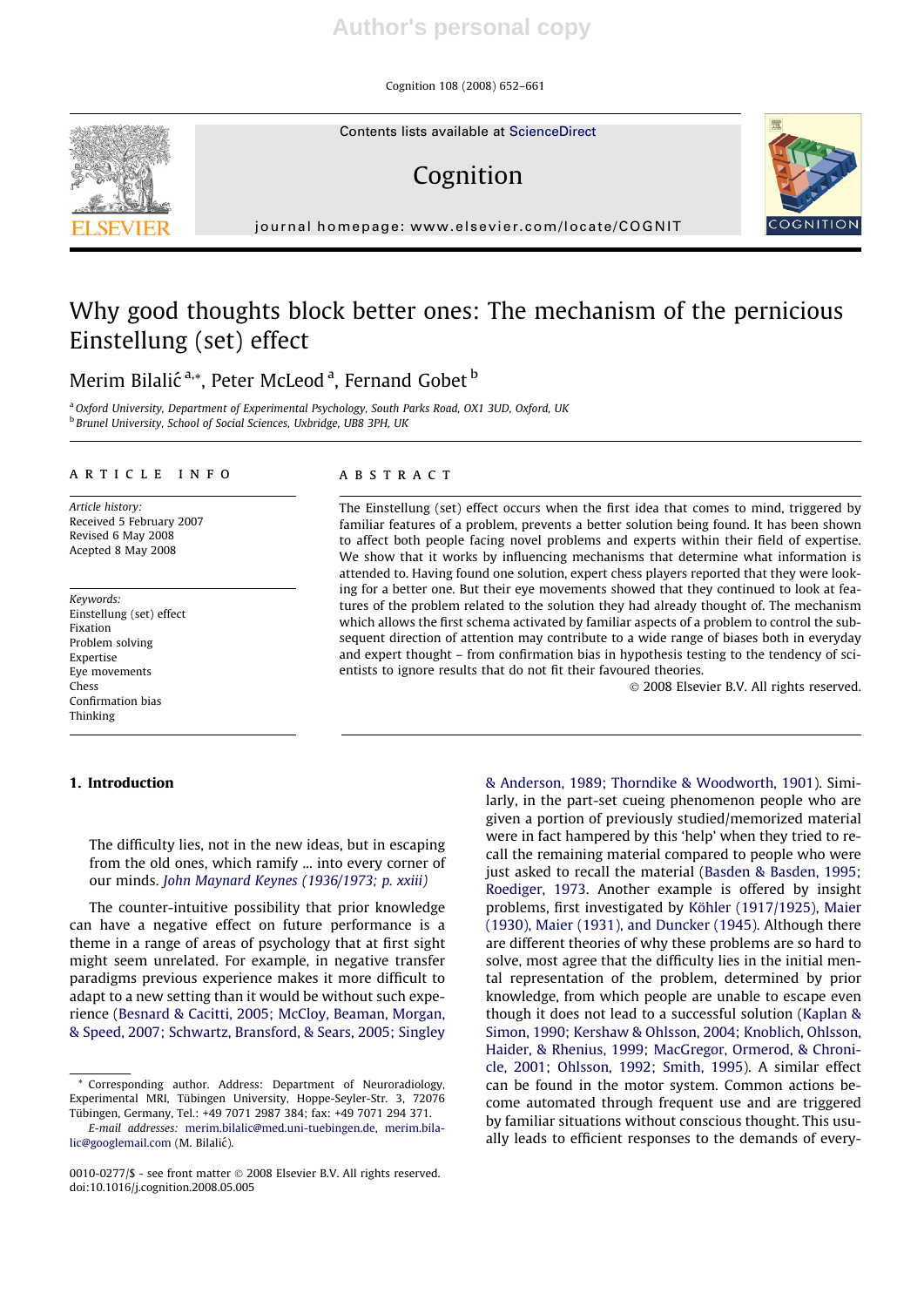Cognition 108 (2008) 652–661

Contents lists available at ScienceDirect

# Cognition



journal homepage: www.elsevier.com/locate/COGNIT

## Why good thoughts block better ones: The mechanism of the pernicious Einstellung (set) effect

## Merim Bilalić <sup>a,</sup>\*, Peter McLeod <sup>a</sup>, Fernand Gobet <sup>b</sup>

a Oxford University, Department of Experimental Psychology, South Parks Road, OX1 3UD, Oxford, UK <sup>b</sup> Brunel University, School of Social Sciences, Uxbridge, UB8 3PH, UK

#### article info

Article history: Received 5 February 2007 Revised 6 May 2008 Acepted 8 May 2008

Keywords: Einstellung (set) effect Fixation Problem solving Expertise Eye movements Chess Confirmation bias Thinking

## 1. Introduction

The difficulty lies, not in the new ideas, but in escaping from the old ones, which ramify ... into every corner of our minds. John Maynard Keynes (1936/1973; p. xxiii)

The counter-intuitive possibility that prior knowledge can have a negative effect on future performance is a theme in a range of areas of psychology that at first sight might seem unrelated. For example, in negative transfer paradigms previous experience makes it more difficult to adapt to a new setting than it would be without such experience (Besnard & Cacitti, 2005; McCloy, Beaman, Morgan, & Speed, 2007; Schwartz, Bransford, & Sears, 2005; Singley

## ABSTRACT

The Einstellung (set) effect occurs when the first idea that comes to mind, triggered by familiar features of a problem, prevents a better solution being found. It has been shown to affect both people facing novel problems and experts within their field of expertise. We show that it works by influencing mechanisms that determine what information is attended to. Having found one solution, expert chess players reported that they were looking for a better one. But their eye movements showed that they continued to look at features of the problem related to the solution they had already thought of. The mechanism which allows the first schema activated by familiar aspects of a problem to control the subsequent direction of attention may contribute to a wide range of biases both in everyday and expert thought – from confirmation bias in hypothesis testing to the tendency of scientists to ignore results that do not fit their favoured theories.

© 2008 Elsevier B.V. All rights reserved.

& Anderson, 1989; Thorndike & Woodworth, 1901). Similarly, in the part-set cueing phenomenon people who are given a portion of previously studied/memorized material were in fact hampered by this 'help' when they tried to recall the remaining material compared to people who were just asked to recall the material (Basden & Basden, 1995; Roediger, 1973. Another example is offered by insight problems, first investigated by Köhler (1917/1925), Maier (1930), Maier (1931), and Duncker (1945). Although there are different theories of why these problems are so hard to solve, most agree that the difficulty lies in the initial mental representation of the problem, determined by prior knowledge, from which people are unable to escape even though it does not lead to a successful solution (Kaplan & Simon, 1990; Kershaw & Ohlsson, 2004; Knoblich, Ohlsson, Haider, & Rhenius, 1999; MacGregor, Ormerod, & Chronicle, 2001; Ohlsson, 1992; Smith, 1995). A similar effect can be found in the motor system. Common actions become automated through frequent use and are triggered by familiar situations without conscious thought. This usually leads to efficient responses to the demands of every-



<sup>\*</sup> Corresponding author. Address: Department of Neuroradiology, Experimental MRI, Tübingen University, Hoppe-Seyler-Str. 3, 72076 Tübingen, Germany, Tel.: +49 7071 2987 384; fax: +49 7071 294 371.

E-mail addresses: merim.bilalic@med.uni-tuebingen.de, merim.bilalic@googlemail.com (M. Bilalić).

<sup>0010-0277/\$ -</sup> see front matter © 2008 Elsevier B.V. All rights reserved. doi:10.1016/j.cognition.2008.05.005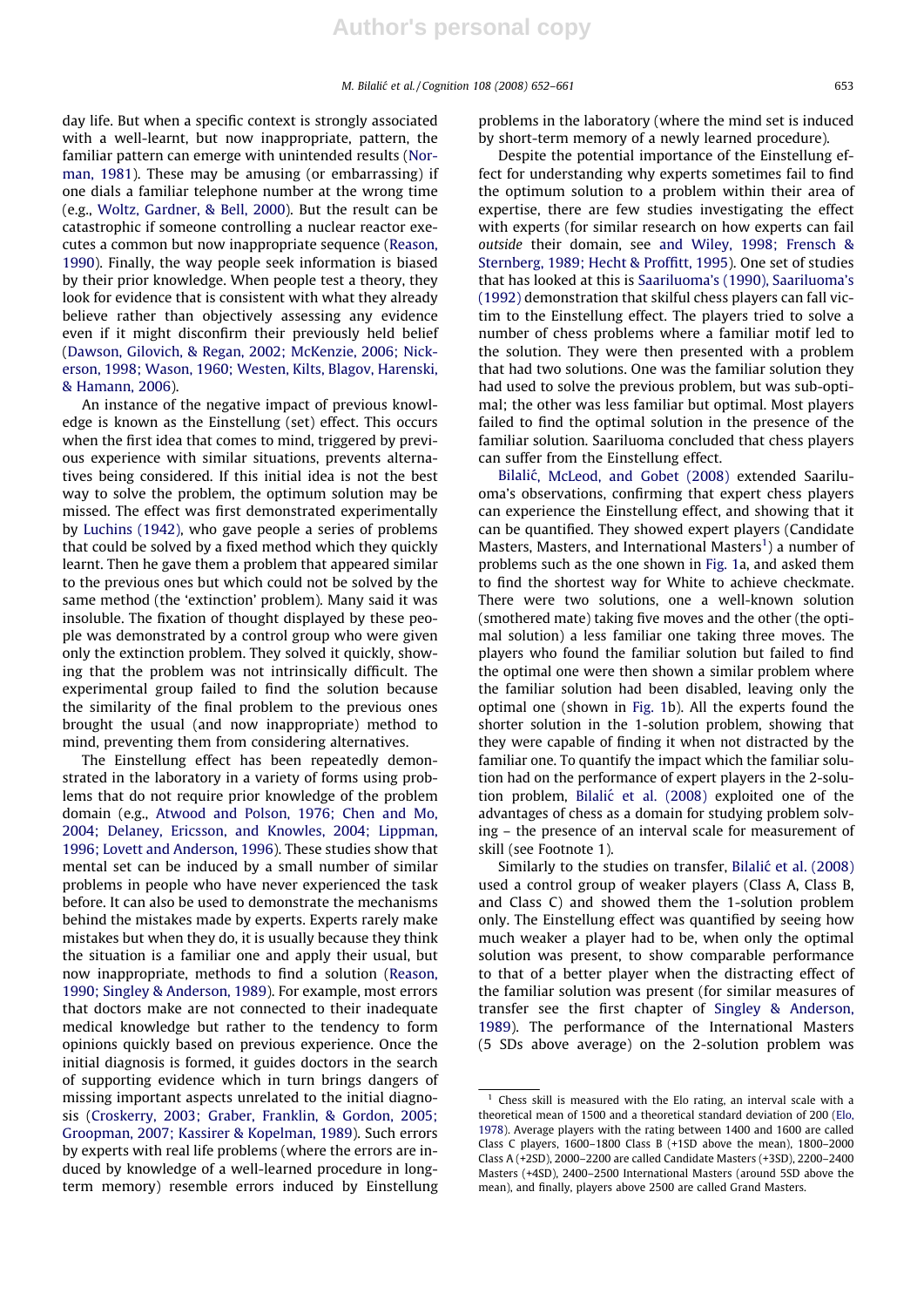day life. But when a specific context is strongly associated with a well-learnt, but now inappropriate, pattern, the familiar pattern can emerge with unintended results (Norman, 1981). These may be amusing (or embarrassing) if one dials a familiar telephone number at the wrong time (e.g., Woltz, Gardner, & Bell, 2000). But the result can be catastrophic if someone controlling a nuclear reactor executes a common but now inappropriate sequence (Reason, 1990). Finally, the way people seek information is biased by their prior knowledge. When people test a theory, they look for evidence that is consistent with what they already believe rather than objectively assessing any evidence even if it might disconfirm their previously held belief (Dawson, Gilovich, & Regan, 2002; McKenzie, 2006; Nickerson, 1998; Wason, 1960; Westen, Kilts, Blagov, Harenski, & Hamann, 2006).

An instance of the negative impact of previous knowledge is known as the Einstellung (set) effect. This occurs when the first idea that comes to mind, triggered by previous experience with similar situations, prevents alternatives being considered. If this initial idea is not the best way to solve the problem, the optimum solution may be missed. The effect was first demonstrated experimentally by Luchins (1942), who gave people a series of problems that could be solved by a fixed method which they quickly learnt. Then he gave them a problem that appeared similar to the previous ones but which could not be solved by the same method (the 'extinction' problem). Many said it was insoluble. The fixation of thought displayed by these people was demonstrated by a control group who were given only the extinction problem. They solved it quickly, showing that the problem was not intrinsically difficult. The experimental group failed to find the solution because the similarity of the final problem to the previous ones brought the usual (and now inappropriate) method to mind, preventing them from considering alternatives.

The Einstellung effect has been repeatedly demonstrated in the laboratory in a variety of forms using problems that do not require prior knowledge of the problem domain (e.g., Atwood and Polson, 1976; Chen and Mo, 2004; Delaney, Ericsson, and Knowles, 2004; Lippman, 1996; Lovett and Anderson, 1996). These studies show that mental set can be induced by a small number of similar problems in people who have never experienced the task before. It can also be used to demonstrate the mechanisms behind the mistakes made by experts. Experts rarely make mistakes but when they do, it is usually because they think the situation is a familiar one and apply their usual, but now inappropriate, methods to find a solution (Reason, 1990; Singley & Anderson, 1989). For example, most errors that doctors make are not connected to their inadequate medical knowledge but rather to the tendency to form opinions quickly based on previous experience. Once the initial diagnosis is formed, it guides doctors in the search of supporting evidence which in turn brings dangers of missing important aspects unrelated to the initial diagnosis (Croskerry, 2003; Graber, Franklin, & Gordon, 2005; Groopman, 2007; Kassirer & Kopelman, 1989). Such errors by experts with real life problems (where the errors are induced by knowledge of a well-learned procedure in longterm memory) resemble errors induced by Einstellung

problems in the laboratory (where the mind set is induced by short-term memory of a newly learned procedure).

Despite the potential importance of the Einstellung effect for understanding why experts sometimes fail to find the optimum solution to a problem within their area of expertise, there are few studies investigating the effect with experts (for similar research on how experts can fail outside their domain, see and Wiley, 1998; Frensch & Sternberg, 1989; Hecht & Proffitt, 1995). One set of studies that has looked at this is Saariluoma's (1990), Saariluoma's (1992) demonstration that skilful chess players can fall victim to the Einstellung effect. The players tried to solve a number of chess problems where a familiar motif led to the solution. They were then presented with a problem that had two solutions. One was the familiar solution they had used to solve the previous problem, but was sub-optimal; the other was less familiar but optimal. Most players failed to find the optimal solution in the presence of the familiar solution. Saariluoma concluded that chess players can suffer from the Einstellung effect.

Bilalić, McLeod, and Gobet (2008) extended Saariluoma's observations, confirming that expert chess players can experience the Einstellung effect, and showing that it can be quantified. They showed expert players (Candidate Masters, Masters, and International Masters<sup>1</sup>) a number of problems such as the one shown in Fig. 1a, and asked them to find the shortest way for White to achieve checkmate. There were two solutions, one a well-known solution (smothered mate) taking five moves and the other (the optimal solution) a less familiar one taking three moves. The players who found the familiar solution but failed to find the optimal one were then shown a similar problem where the familiar solution had been disabled, leaving only the optimal one (shown in Fig. 1b). All the experts found the shorter solution in the 1-solution problem, showing that they were capable of finding it when not distracted by the familiar one. To quantify the impact which the familiar solution had on the performance of expert players in the 2-solution problem, Bilalić et al. (2008) exploited one of the advantages of chess as a domain for studying problem solving – the presence of an interval scale for measurement of skill (see Footnote 1).

Similarly to the studies on transfer, Bilalić et al. (2008) used a control group of weaker players (Class A, Class B, and Class C) and showed them the 1-solution problem only. The Einstellung effect was quantified by seeing how much weaker a player had to be, when only the optimal solution was present, to show comparable performance to that of a better player when the distracting effect of the familiar solution was present (for similar measures of transfer see the first chapter of Singley & Anderson, 1989). The performance of the International Masters (5 SDs above average) on the 2-solution problem was

 $1$  Chess skill is measured with the Elo rating, an interval scale with a theoretical mean of 1500 and a theoretical standard deviation of 200 (Elo, 1978). Average players with the rating between 1400 and 1600 are called Class C players, 1600–1800 Class B (+1SD above the mean), 1800–2000 Class A (+2SD), 2000–2200 are called Candidate Masters (+3SD), 2200–2400 Masters (+4SD), 2400–2500 International Masters (around 5SD above the mean), and finally, players above 2500 are called Grand Masters.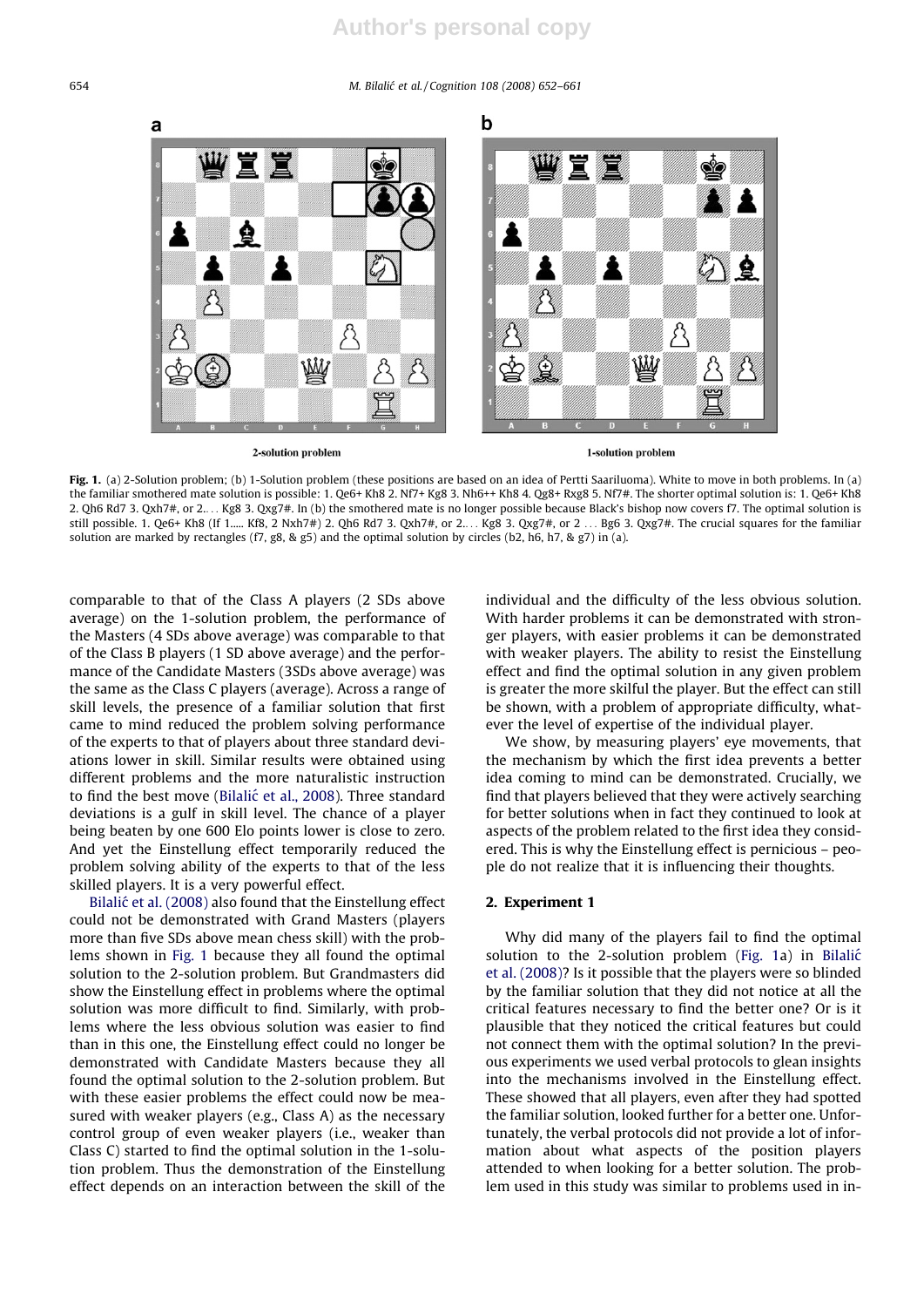654 M. Bilalic´ et al. / Cognition 108 (2008) 652–661



Fig. 1. (a) 2-Solution problem; (b) 1-Solution problem (these positions are based on an idea of Pertti Saariluoma). White to move in both problems. In (a) the familiar smothered mate solution is possible: 1. Qe6+ Kh8 2. Nf7+ Kg8 3. Nh6++ Kh8 4. Qg8+ Rxg8 5. Nf7#. The shorter optimal solution is: 1. Qe6+ Kh8 2. Qh6 Rd7 3. Qxh7#, or 2.... Kg8 3. Qxg7#. In (b) the smothered mate is no longer possible because Black's bishop now covers f7. The optimal solution is still possible. 1. Qe6+ Kh8 (If 1..... Kf8, 2 Nxh7#) 2. Qh6 Rd7 3. Qxh7#, or 2.... Kg8 3. Qxg7#, or 2 ... Bg6 3. Qxg7#. The crucial squares for the familiar solution are marked by rectangles (f7, g8, & g5) and the optimal solution by circles (b2, h6, h7, & g7) in (a).

comparable to that of the Class A players (2 SDs above average) on the 1-solution problem, the performance of the Masters (4 SDs above average) was comparable to that of the Class B players (1 SD above average) and the performance of the Candidate Masters (3SDs above average) was the same as the Class C players (average). Across a range of skill levels, the presence of a familiar solution that first came to mind reduced the problem solving performance of the experts to that of players about three standard deviations lower in skill. Similar results were obtained using different problems and the more naturalistic instruction to find the best move (Bilalić et al., 2008). Three standard deviations is a gulf in skill level. The chance of a player being beaten by one 600 Elo points lower is close to zero. And yet the Einstellung effect temporarily reduced the problem solving ability of the experts to that of the less skilled players. It is a very powerful effect.

Bilalić et al. (2008) also found that the Einstellung effect could not be demonstrated with Grand Masters (players more than five SDs above mean chess skill) with the problems shown in Fig. 1 because they all found the optimal solution to the 2-solution problem. But Grandmasters did show the Einstellung effect in problems where the optimal solution was more difficult to find. Similarly, with problems where the less obvious solution was easier to find than in this one, the Einstellung effect could no longer be demonstrated with Candidate Masters because they all found the optimal solution to the 2-solution problem. But with these easier problems the effect could now be measured with weaker players (e.g., Class A) as the necessary control group of even weaker players (i.e., weaker than Class C) started to find the optimal solution in the 1-solution problem. Thus the demonstration of the Einstellung effect depends on an interaction between the skill of the

individual and the difficulty of the less obvious solution. With harder problems it can be demonstrated with stronger players, with easier problems it can be demonstrated with weaker players. The ability to resist the Einstellung effect and find the optimal solution in any given problem is greater the more skilful the player. But the effect can still be shown, with a problem of appropriate difficulty, whatever the level of expertise of the individual player.

We show, by measuring players' eye movements, that the mechanism by which the first idea prevents a better idea coming to mind can be demonstrated. Crucially, we find that players believed that they were actively searching for better solutions when in fact they continued to look at aspects of the problem related to the first idea they considered. This is why the Einstellung effect is pernicious – people do not realize that it is influencing their thoughts.

## 2. Experiment 1

Why did many of the players fail to find the optimal solution to the 2-solution problem (Fig. 1a) in Bilalić et al. (2008)? Is it possible that the players were so blinded by the familiar solution that they did not notice at all the critical features necessary to find the better one? Or is it plausible that they noticed the critical features but could not connect them with the optimal solution? In the previous experiments we used verbal protocols to glean insights into the mechanisms involved in the Einstellung effect. These showed that all players, even after they had spotted the familiar solution, looked further for a better one. Unfortunately, the verbal protocols did not provide a lot of information about what aspects of the position players attended to when looking for a better solution. The problem used in this study was similar to problems used in in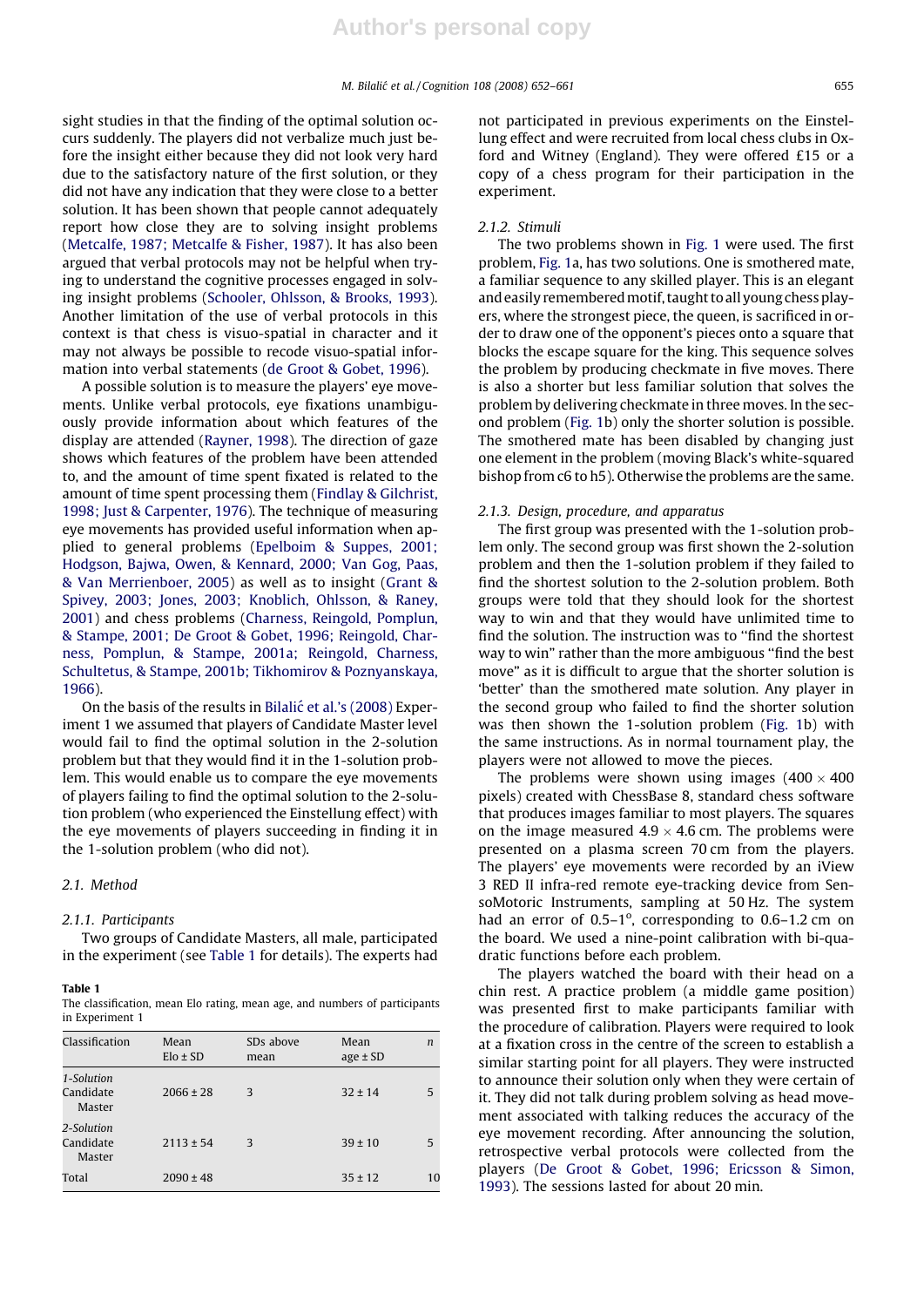sight studies in that the finding of the optimal solution occurs suddenly. The players did not verbalize much just before the insight either because they did not look very hard due to the satisfactory nature of the first solution, or they did not have any indication that they were close to a better solution. It has been shown that people cannot adequately report how close they are to solving insight problems (Metcalfe, 1987; Metcalfe & Fisher, 1987). It has also been argued that verbal protocols may not be helpful when trying to understand the cognitive processes engaged in solving insight problems (Schooler, Ohlsson, & Brooks, 1993). Another limitation of the use of verbal protocols in this context is that chess is visuo-spatial in character and it may not always be possible to recode visuo-spatial information into verbal statements (de Groot & Gobet, 1996).

A possible solution is to measure the players' eye movements. Unlike verbal protocols, eye fixations unambiguously provide information about which features of the display are attended (Rayner, 1998). The direction of gaze shows which features of the problem have been attended to, and the amount of time spent fixated is related to the amount of time spent processing them (Findlay & Gilchrist, 1998; Just & Carpenter, 1976). The technique of measuring eye movements has provided useful information when applied to general problems (Epelboim & Suppes, 2001; Hodgson, Bajwa, Owen, & Kennard, 2000; Van Gog, Paas, & Van Merrienboer, 2005) as well as to insight (Grant & Spivey, 2003; Jones, 2003; Knoblich, Ohlsson, & Raney, 2001) and chess problems (Charness, Reingold, Pomplun, & Stampe, 2001; De Groot & Gobet, 1996; Reingold, Charness, Pomplun, & Stampe, 2001a; Reingold, Charness, Schultetus, & Stampe, 2001b; Tikhomirov & Poznyanskaya, 1966).

On the basis of the results in Bilalić et al.'s (2008) Experiment 1 we assumed that players of Candidate Master level would fail to find the optimal solution in the 2-solution problem but that they would find it in the 1-solution problem. This would enable us to compare the eye movements of players failing to find the optimal solution to the 2-solution problem (who experienced the Einstellung effect) with the eye movements of players succeeding in finding it in the 1-solution problem (who did not).

## 2.1. Method

#### 2.1.1. Participants

Two groups of Candidate Masters, all male, participated in the experiment (see Table 1 for details). The experts had

#### Table 1

The classification, mean Elo rating, mean age, and numbers of participants in Experiment 1

| Classification                    | Mean<br>$Elo \pm SD$ | SD <sub>s</sub> above<br>mean | Mean<br>$age \pm SD$ | $\boldsymbol{n}$ |
|-----------------------------------|----------------------|-------------------------------|----------------------|------------------|
| 1-Solution<br>Candidate<br>Master | $2066 \pm 28$        | 3                             | $32 \pm 14$          | 5                |
| 2-Solution<br>Candidate<br>Master | $2113 \pm 54$        | 3                             | $39 \pm 10$          | 5                |
| Total                             | $2090 \pm 48$        |                               | $35 \pm 12$          | 10               |

not participated in previous experiments on the Einstellung effect and were recruited from local chess clubs in Oxford and Witney (England). They were offered £15 or a copy of a chess program for their participation in the experiment.

## 2.1.2. Stimuli

The two problems shown in Fig. 1 were used. The first problem, Fig. 1a, has two solutions. One is smothered mate, a familiar sequence to any skilled player. This is an elegant and easily rememberedmotif, taught to all young chess players, where the strongest piece, the queen, is sacrificed in order to draw one of the opponent's pieces onto a square that blocks the escape square for the king. This sequence solves the problem by producing checkmate in five moves. There is also a shorter but less familiar solution that solves the problem by delivering checkmate in three moves. In the second problem (Fig. 1b) only the shorter solution is possible. The smothered mate has been disabled by changing just one element in the problem (moving Black's white-squared bishop from c6 to h5). Otherwise the problems are the same.

#### 2.1.3. Design, procedure, and apparatus

The first group was presented with the 1-solution problem only. The second group was first shown the 2-solution problem and then the 1-solution problem if they failed to find the shortest solution to the 2-solution problem. Both groups were told that they should look for the shortest way to win and that they would have unlimited time to find the solution. The instruction was to ''find the shortest way to win" rather than the more ambiguous ''find the best move" as it is difficult to argue that the shorter solution is 'better' than the smothered mate solution. Any player in the second group who failed to find the shorter solution was then shown the 1-solution problem (Fig. 1b) with the same instructions. As in normal tournament play, the players were not allowed to move the pieces.

The problems were shown using images  $(400 \times 400)$ pixels) created with ChessBase 8, standard chess software that produces images familiar to most players. The squares on the image measured  $4.9 \times 4.6$  cm. The problems were presented on a plasma screen 70 cm from the players. The players' eye movements were recorded by an iView 3 RED II infra-red remote eye-tracking device from SensoMotoric Instruments, sampling at 50 Hz. The system had an error of  $0.5-1$ °, corresponding to  $0.6-1.2$  cm on the board. We used a nine-point calibration with bi-quadratic functions before each problem.

The players watched the board with their head on a chin rest. A practice problem (a middle game position) was presented first to make participants familiar with the procedure of calibration. Players were required to look at a fixation cross in the centre of the screen to establish a similar starting point for all players. They were instructed to announce their solution only when they were certain of it. They did not talk during problem solving as head movement associated with talking reduces the accuracy of the eye movement recording. After announcing the solution, retrospective verbal protocols were collected from the players (De Groot & Gobet, 1996; Ericsson & Simon, 1993). The sessions lasted for about 20 min.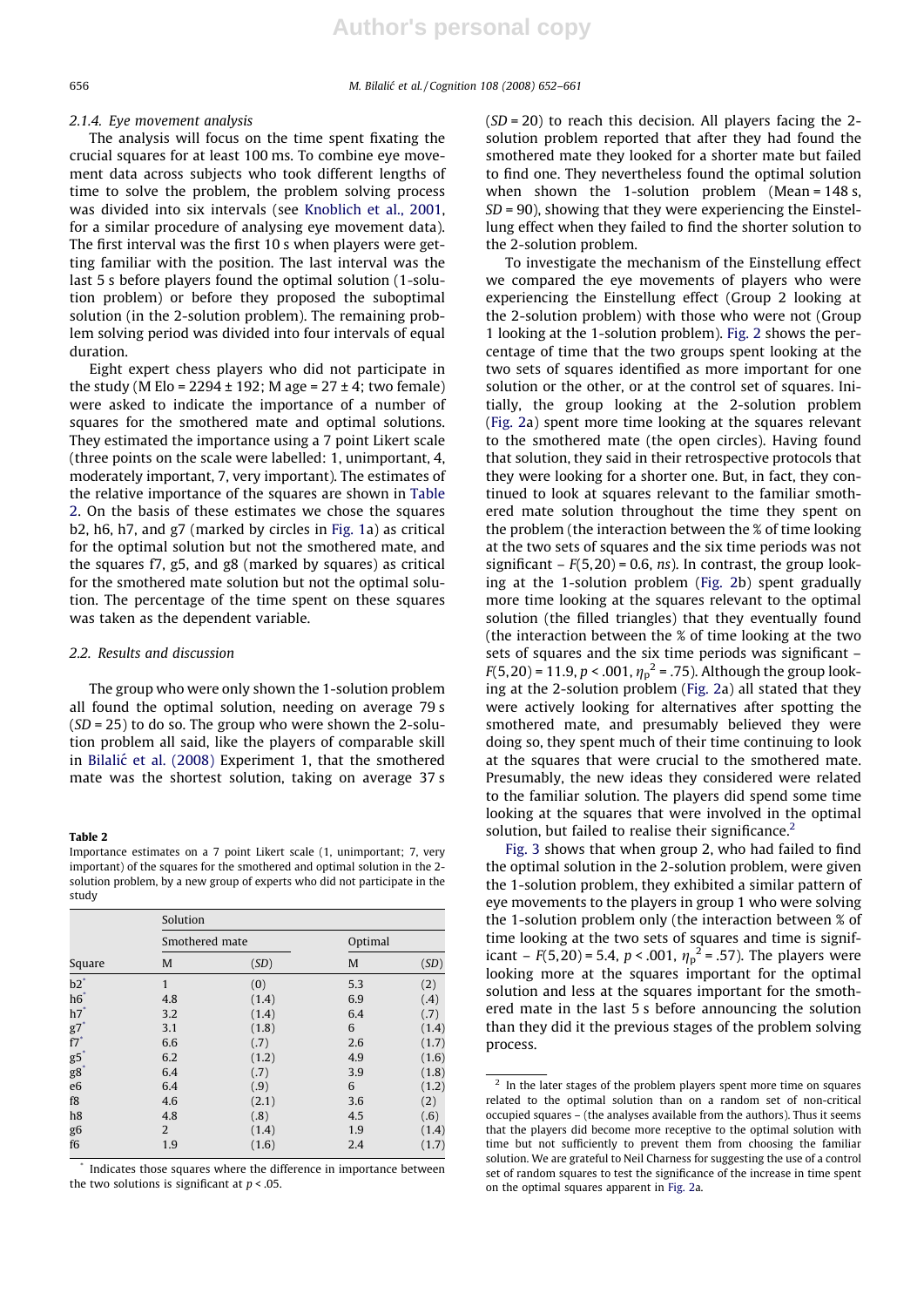#### 2.1.4. Eye movement analysis

The analysis will focus on the time spent fixating the crucial squares for at least 100 ms. To combine eye movement data across subjects who took different lengths of time to solve the problem, the problem solving process was divided into six intervals (see Knoblich et al., 2001, for a similar procedure of analysing eye movement data). The first interval was the first 10 s when players were getting familiar with the position. The last interval was the last 5 s before players found the optimal solution (1-solution problem) or before they proposed the suboptimal solution (in the 2-solution problem). The remaining problem solving period was divided into four intervals of equal duration.

Eight expert chess players who did not participate in the study (M Elo = 2294  $\pm$  192; M age = 27  $\pm$  4; two female) were asked to indicate the importance of a number of squares for the smothered mate and optimal solutions. They estimated the importance using a 7 point Likert scale (three points on the scale were labelled: 1, unimportant, 4, moderately important, 7, very important). The estimates of the relative importance of the squares are shown in Table 2. On the basis of these estimates we chose the squares b2, h6, h7, and g7 (marked by circles in Fig. 1a) as critical for the optimal solution but not the smothered mate, and the squares f7, g5, and g8 (marked by squares) as critical for the smothered mate solution but not the optimal solution. The percentage of the time spent on these squares was taken as the dependent variable.

## 2.2. Results and discussion

The group who were only shown the 1-solution problem all found the optimal solution, needing on average 79 s  $(SD = 25)$  to do so. The group who were shown the 2-solution problem all said, like the players of comparable skill in Bilalić et al. (2008) Experiment 1, that the smothered mate was the shortest solution, taking on average 37 s

#### Table 2

Importance estimates on a 7 point Likert scale (1, unimportant; 7, very important) of the squares for the smothered and optimal solution in the 2 solution problem, by a new group of experts who did not participate in the study

| Square         | Solution       |                |     |         |  |  |
|----------------|----------------|----------------|-----|---------|--|--|
|                |                | Smothered mate |     | Optimal |  |  |
|                | M              | (SD)           | M   | (SD)    |  |  |
| $b2^*$         | $\mathbf{1}$   | (0)            | 5.3 | (2)     |  |  |
| $h6^*$         | 4.8            | (1.4)          | 6.9 | (.4)    |  |  |
| h7             | 3.2            | (1.4)          | 6.4 | (.7)    |  |  |
| g7*<br>f7*     | 3.1            | (1.8)          | 6   | (1.4)   |  |  |
|                | 6.6            | (.7)           | 2.6 | (1.7)   |  |  |
| <br>g5*<br>g8* | 6.2            | (1.2)          | 4.9 | (1.6)   |  |  |
|                | 6.4            | (.7)           | 3.9 | (1.8)   |  |  |
| e <sub>6</sub> | 6.4            | (0.9)          | 6   | (1.2)   |  |  |
| f8             | 4.6            | (2.1)          | 3.6 | (2)     |  |  |
| h8             | 4.8            | (.8)           | 4.5 | (.6)    |  |  |
| g6             | $\overline{2}$ | (1.4)          | 1.9 | (1.4)   |  |  |
| f6             | 1.9            | (1.6)          | 2.4 | (1.7)   |  |  |

\* Indicates those squares where the difference in importance between the two solutions is significant at  $p < .05$ .

 $(SD = 20)$  to reach this decision. All players facing the 2solution problem reported that after they had found the smothered mate they looked for a shorter mate but failed to find one. They nevertheless found the optimal solution when shown the 1-solution problem (Mean = 148 s,  $SD = 90$ ), showing that they were experiencing the Einstellung effect when they failed to find the shorter solution to the 2-solution problem.

To investigate the mechanism of the Einstellung effect we compared the eye movements of players who were experiencing the Einstellung effect (Group 2 looking at the 2-solution problem) with those who were not (Group 1 looking at the 1-solution problem). Fig. 2 shows the percentage of time that the two groups spent looking at the two sets of squares identified as more important for one solution or the other, or at the control set of squares. Initially, the group looking at the 2-solution problem (Fig. 2a) spent more time looking at the squares relevant to the smothered mate (the open circles). Having found that solution, they said in their retrospective protocols that they were looking for a shorter one. But, in fact, they continued to look at squares relevant to the familiar smothered mate solution throughout the time they spent on the problem (the interaction between the % of time looking at the two sets of squares and the six time periods was not significant –  $F(5,20)$  = 0.6, ns). In contrast, the group looking at the 1-solution problem (Fig. 2b) spent gradually more time looking at the squares relevant to the optimal solution (the filled triangles) that they eventually found (the interaction between the % of time looking at the two sets of squares and the six time periods was significant –  $F(5,20)$  = 11.9, p < .001,  $\eta_p^2$  = .75). Although the group looking at the 2-solution problem (Fig. 2a) all stated that they were actively looking for alternatives after spotting the smothered mate, and presumably believed they were doing so, they spent much of their time continuing to look at the squares that were crucial to the smothered mate. Presumably, the new ideas they considered were related to the familiar solution. The players did spend some time looking at the squares that were involved in the optimal solution, but failed to realise their significance.<sup>2</sup>

Fig. 3 shows that when group 2, who had failed to find the optimal solution in the 2-solution problem, were given the 1-solution problem, they exhibited a similar pattern of eye movements to the players in group 1 who were solving the 1-solution problem only (the interaction between % of time looking at the two sets of squares and time is significant –  $F(5,20)$  = 5.4, p < .001,  $\eta_p^2$  = .57). The players were looking more at the squares important for the optimal solution and less at the squares important for the smothered mate in the last 5 s before announcing the solution than they did it the previous stages of the problem solving process.

<sup>&</sup>lt;sup>2</sup> In the later stages of the problem players spent more time on squares related to the optimal solution than on a random set of non-critical occupied squares – (the analyses available from the authors). Thus it seems that the players did become more receptive to the optimal solution with time but not sufficiently to prevent them from choosing the familiar solution. We are grateful to Neil Charness for suggesting the use of a control set of random squares to test the significance of the increase in time spent on the optimal squares apparent in Fig. 2a.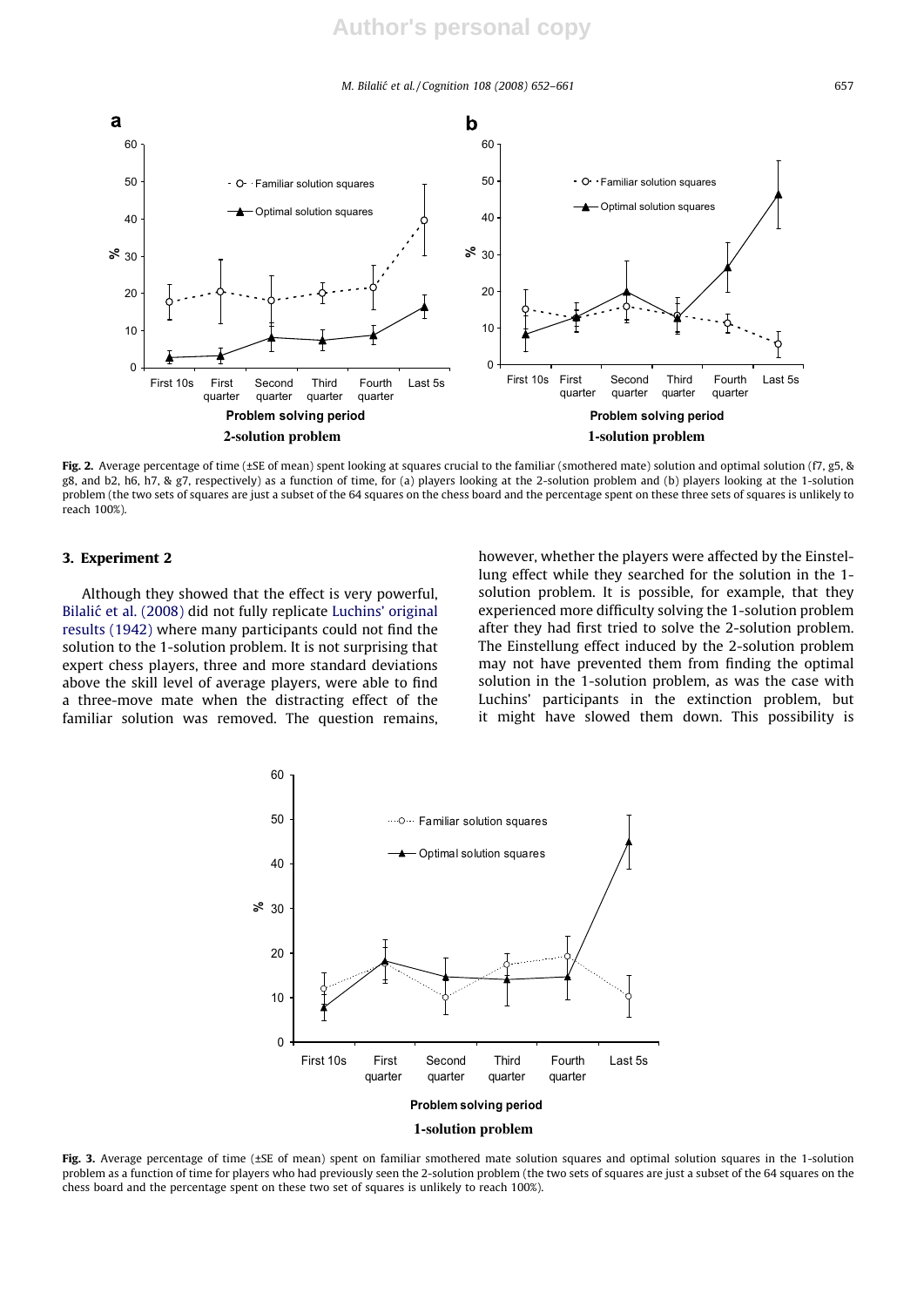M. Bilalić et al. / Cognition 108 (2008) 652–661 657



Fig. 2. Average percentage of time (±SE of mean) spent looking at squares crucial to the familiar (smothered mate) solution and optimal solution (f7, g5, & g8, and b2, h6, h7, & g7, respectively) as a function of time, for (a) players looking at the 2-solution problem and (b) players looking at the 1-solution problem (the two sets of squares are just a subset of the 64 squares on the chess board and the percentage spent on these three sets of squares is unlikely to reach 100%).

## 3. Experiment 2

Although they showed that the effect is very powerful, Bilalić et al. (2008) did not fully replicate Luchins' original results (1942) where many participants could not find the solution to the 1-solution problem. It is not surprising that expert chess players, three and more standard deviations above the skill level of average players, were able to find a three-move mate when the distracting effect of the familiar solution was removed. The question remains, however, whether the players were affected by the Einstellung effect while they searched for the solution in the 1 solution problem. It is possible, for example, that they experienced more difficulty solving the 1-solution problem after they had first tried to solve the 2-solution problem. The Einstellung effect induced by the 2-solution problem may not have prevented them from finding the optimal solution in the 1-solution problem, as was the case with Luchins' participants in the extinction problem, but it might have slowed them down. This possibility is



Fig. 3. Average percentage of time (±SE of mean) spent on familiar smothered mate solution squares and optimal solution squares in the 1-solution problem as a function of time for players who had previously seen the 2-solution problem (the two sets of squares are just a subset of the 64 squares on the chess board and the percentage spent on these two set of squares is unlikely to reach 100%).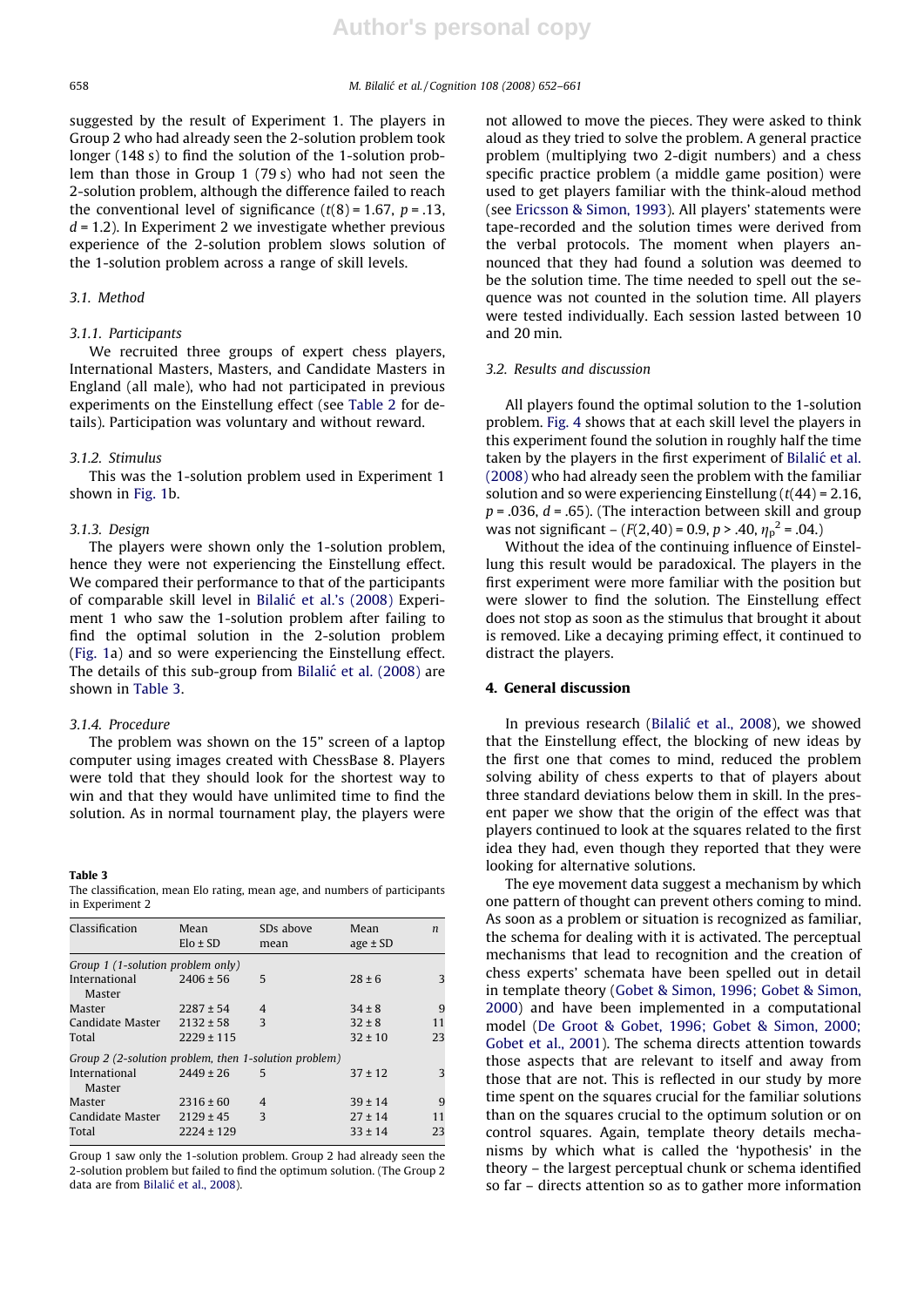suggested by the result of Experiment 1. The players in Group 2 who had already seen the 2-solution problem took longer (148 s) to find the solution of the 1-solution problem than those in Group 1 (79 s) who had not seen the 2-solution problem, although the difference failed to reach the conventional level of significance  $(t(8) = 1.67, p = .13,$  $d = 1.2$ ). In Experiment 2 we investigate whether previous experience of the 2-solution problem slows solution of the 1-solution problem across a range of skill levels.

## 3.1. Method

## 3.1.1. Participants

We recruited three groups of expert chess players, International Masters, Masters, and Candidate Masters in England (all male), who had not participated in previous experiments on the Einstellung effect (see Table 2 for details). Participation was voluntary and without reward.

#### 3.1.2. Stimulus

This was the 1-solution problem used in Experiment 1 shown in Fig. 1b.

#### 3.1.3. Design

The players were shown only the 1-solution problem, hence they were not experiencing the Einstellung effect. We compared their performance to that of the participants of comparable skill level in Bilalić et al.'s (2008) Experiment 1 who saw the 1-solution problem after failing to find the optimal solution in the 2-solution problem (Fig. 1a) and so were experiencing the Einstellung effect. The details of this sub-group from Bilalić et al. (2008) are shown in Table 3.

## 3.1.4. Procedure

The problem was shown on the 15" screen of a laptop computer using images created with ChessBase 8. Players were told that they should look for the shortest way to win and that they would have unlimited time to find the solution. As in normal tournament play, the players were

#### Table 3

The classification, mean Elo rating, mean age, and numbers of participants in Experiment 2

| Classification                                        | Mean<br>$Elo \pm SD$ | SD <sub>s</sub> above<br>mean | Mean<br>$age \pm SD$ | $\boldsymbol{n}$ |
|-------------------------------------------------------|----------------------|-------------------------------|----------------------|------------------|
| Group 1 (1-solution problem only)                     |                      |                               |                      |                  |
| International<br>Master                               | $2406 \pm 56$        | 5                             | $28 \pm 6$           | 3                |
| Master                                                | $2287 \pm 54$        | $\overline{4}$                | $34 \pm 8$           | 9                |
| Candidate Master                                      | $2132 \pm 58$        | 3                             | $32 \pm 8$           | 11               |
| Total                                                 | $2229 \pm 115$       |                               | $32 \pm 10$          | 23               |
| Group 2 (2-solution problem, then 1-solution problem) |                      |                               |                      |                  |
| International<br>Master                               | $2449 \pm 26$        | 5                             | $37 \pm 12$          | 3                |
| Master                                                | $2316 \pm 60$        | $\overline{4}$                | $39 \pm 14$          | 9                |
| Candidate Master                                      | $2129 \pm 45$        | 3                             | $27 \pm 14$          | 11               |
| Total                                                 | $2224 \pm 129$       |                               | $33 \pm 14$          | 23               |

Group 1 saw only the 1-solution problem. Group 2 had already seen the 2-solution problem but failed to find the optimum solution. (The Group 2 data are from Bilalić et al., 2008).

not allowed to move the pieces. They were asked to think aloud as they tried to solve the problem. A general practice problem (multiplying two 2-digit numbers) and a chess specific practice problem (a middle game position) were used to get players familiar with the think-aloud method (see Ericsson & Simon, 1993). All players' statements were tape-recorded and the solution times were derived from the verbal protocols. The moment when players announced that they had found a solution was deemed to be the solution time. The time needed to spell out the sequence was not counted in the solution time. All players were tested individually. Each session lasted between 10 and 20 min.

## 3.2. Results and discussion

All players found the optimal solution to the 1-solution problem. Fig. 4 shows that at each skill level the players in this experiment found the solution in roughly half the time taken by the players in the first experiment of Bilalić et al. (2008) who had already seen the problem with the familiar solution and so were experiencing Einstellung  $(t(44) = 2.16$ ,  $p = 0.036$ ,  $d = 0.65$ ). (The interaction between skill and group was not significant –  $(F(2,40) = 0.9, p > .40, \eta_p^2 = .04)$ .

Without the idea of the continuing influence of Einstellung this result would be paradoxical. The players in the first experiment were more familiar with the position but were slower to find the solution. The Einstellung effect does not stop as soon as the stimulus that brought it about is removed. Like a decaying priming effect, it continued to distract the players.

## 4. General discussion

In previous research (Bilalić et al., 2008), we showed that the Einstellung effect, the blocking of new ideas by the first one that comes to mind, reduced the problem solving ability of chess experts to that of players about three standard deviations below them in skill. In the present paper we show that the origin of the effect was that players continued to look at the squares related to the first idea they had, even though they reported that they were looking for alternative solutions.

The eye movement data suggest a mechanism by which one pattern of thought can prevent others coming to mind. As soon as a problem or situation is recognized as familiar, the schema for dealing with it is activated. The perceptual mechanisms that lead to recognition and the creation of chess experts' schemata have been spelled out in detail in template theory (Gobet & Simon, 1996; Gobet & Simon, 2000) and have been implemented in a computational model (De Groot & Gobet, 1996; Gobet & Simon, 2000; Gobet et al., 2001). The schema directs attention towards those aspects that are relevant to itself and away from those that are not. This is reflected in our study by more time spent on the squares crucial for the familiar solutions than on the squares crucial to the optimum solution or on control squares. Again, template theory details mechanisms by which what is called the 'hypothesis' in the theory – the largest perceptual chunk or schema identified so far – directs attention so as to gather more information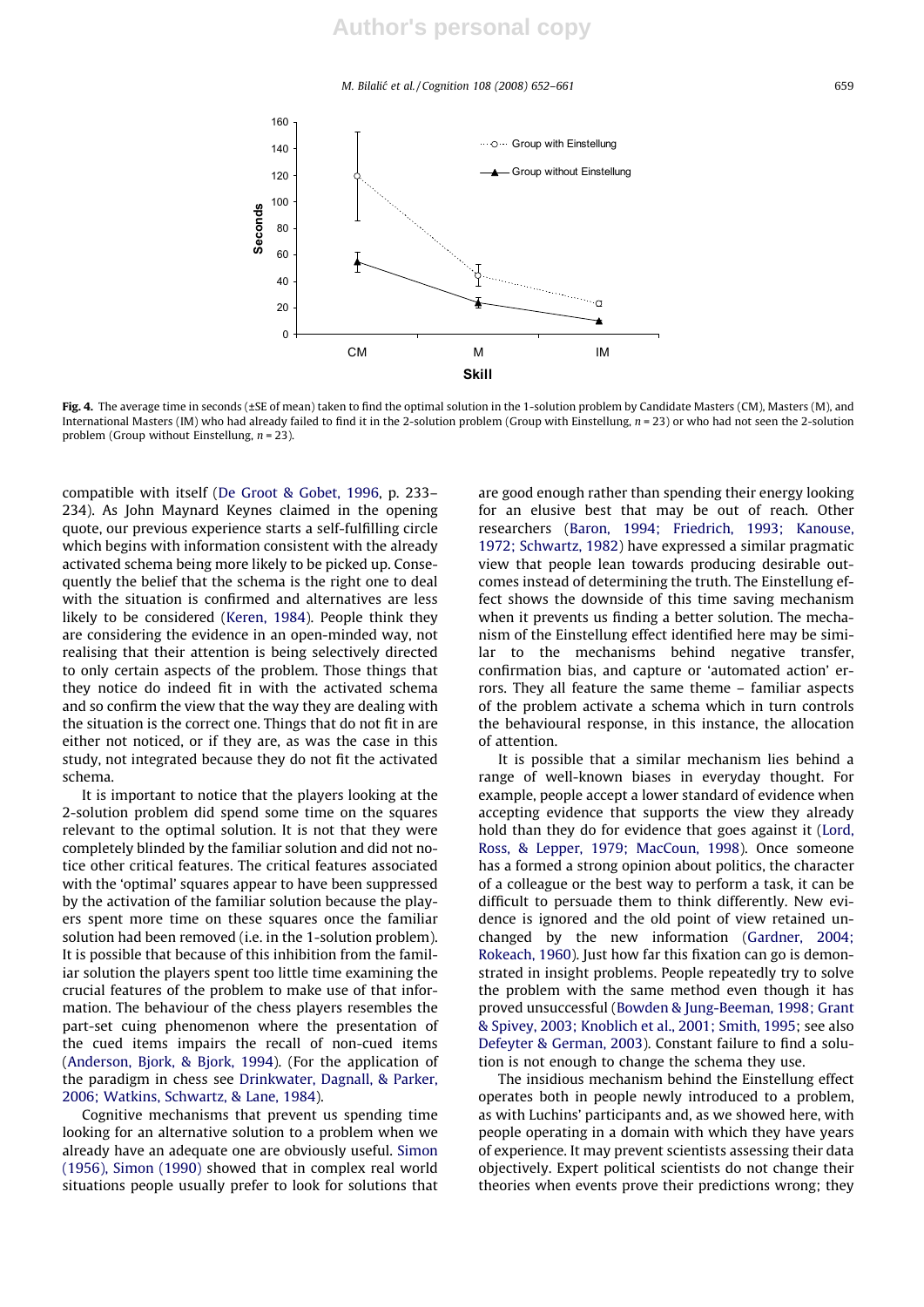M. Bilalić et al. / Cognition 108 (2008) 652–661 659



Fig. 4. The average time in seconds (±SE of mean) taken to find the optimal solution in the 1-solution problem by Candidate Masters (CM), Masters (M), and International Masters (IM) who had already failed to find it in the 2-solution problem (Group with Einstellung,  $n = 23$ ) or who had not seen the 2-solution problem (Group without Einstellung,  $n = 23$ ).

compatible with itself (De Groot & Gobet, 1996, p. 233– 234). As John Maynard Keynes claimed in the opening quote, our previous experience starts a self-fulfilling circle which begins with information consistent with the already activated schema being more likely to be picked up. Consequently the belief that the schema is the right one to deal with the situation is confirmed and alternatives are less likely to be considered (Keren, 1984). People think they are considering the evidence in an open-minded way, not realising that their attention is being selectively directed to only certain aspects of the problem. Those things that they notice do indeed fit in with the activated schema and so confirm the view that the way they are dealing with the situation is the correct one. Things that do not fit in are either not noticed, or if they are, as was the case in this study, not integrated because they do not fit the activated schema.

It is important to notice that the players looking at the 2-solution problem did spend some time on the squares relevant to the optimal solution. It is not that they were completely blinded by the familiar solution and did not notice other critical features. The critical features associated with the 'optimal' squares appear to have been suppressed by the activation of the familiar solution because the players spent more time on these squares once the familiar solution had been removed (i.e. in the 1-solution problem). It is possible that because of this inhibition from the familiar solution the players spent too little time examining the crucial features of the problem to make use of that information. The behaviour of the chess players resembles the part-set cuing phenomenon where the presentation of the cued items impairs the recall of non-cued items (Anderson, Bjork, & Bjork, 1994). (For the application of the paradigm in chess see Drinkwater, Dagnall, & Parker, 2006; Watkins, Schwartz, & Lane, 1984).

Cognitive mechanisms that prevent us spending time looking for an alternative solution to a problem when we already have an adequate one are obviously useful. Simon (1956), Simon (1990) showed that in complex real world situations people usually prefer to look for solutions that

are good enough rather than spending their energy looking for an elusive best that may be out of reach. Other researchers (Baron, 1994; Friedrich, 1993; Kanouse, 1972; Schwartz, 1982) have expressed a similar pragmatic view that people lean towards producing desirable outcomes instead of determining the truth. The Einstellung effect shows the downside of this time saving mechanism when it prevents us finding a better solution. The mechanism of the Einstellung effect identified here may be similar to the mechanisms behind negative transfer, confirmation bias, and capture or 'automated action' errors. They all feature the same theme – familiar aspects of the problem activate a schema which in turn controls the behavioural response, in this instance, the allocation of attention.

It is possible that a similar mechanism lies behind a range of well-known biases in everyday thought. For example, people accept a lower standard of evidence when accepting evidence that supports the view they already hold than they do for evidence that goes against it (Lord, Ross, & Lepper, 1979; MacCoun, 1998). Once someone has a formed a strong opinion about politics, the character of a colleague or the best way to perform a task, it can be difficult to persuade them to think differently. New evidence is ignored and the old point of view retained unchanged by the new information (Gardner, 2004; Rokeach, 1960). Just how far this fixation can go is demonstrated in insight problems. People repeatedly try to solve the problem with the same method even though it has proved unsuccessful (Bowden & Jung-Beeman, 1998; Grant & Spivey, 2003; Knoblich et al., 2001; Smith, 1995; see also Defeyter & German, 2003). Constant failure to find a solution is not enough to change the schema they use.

The insidious mechanism behind the Einstellung effect operates both in people newly introduced to a problem, as with Luchins' participants and, as we showed here, with people operating in a domain with which they have years of experience. It may prevent scientists assessing their data objectively. Expert political scientists do not change their theories when events prove their predictions wrong; they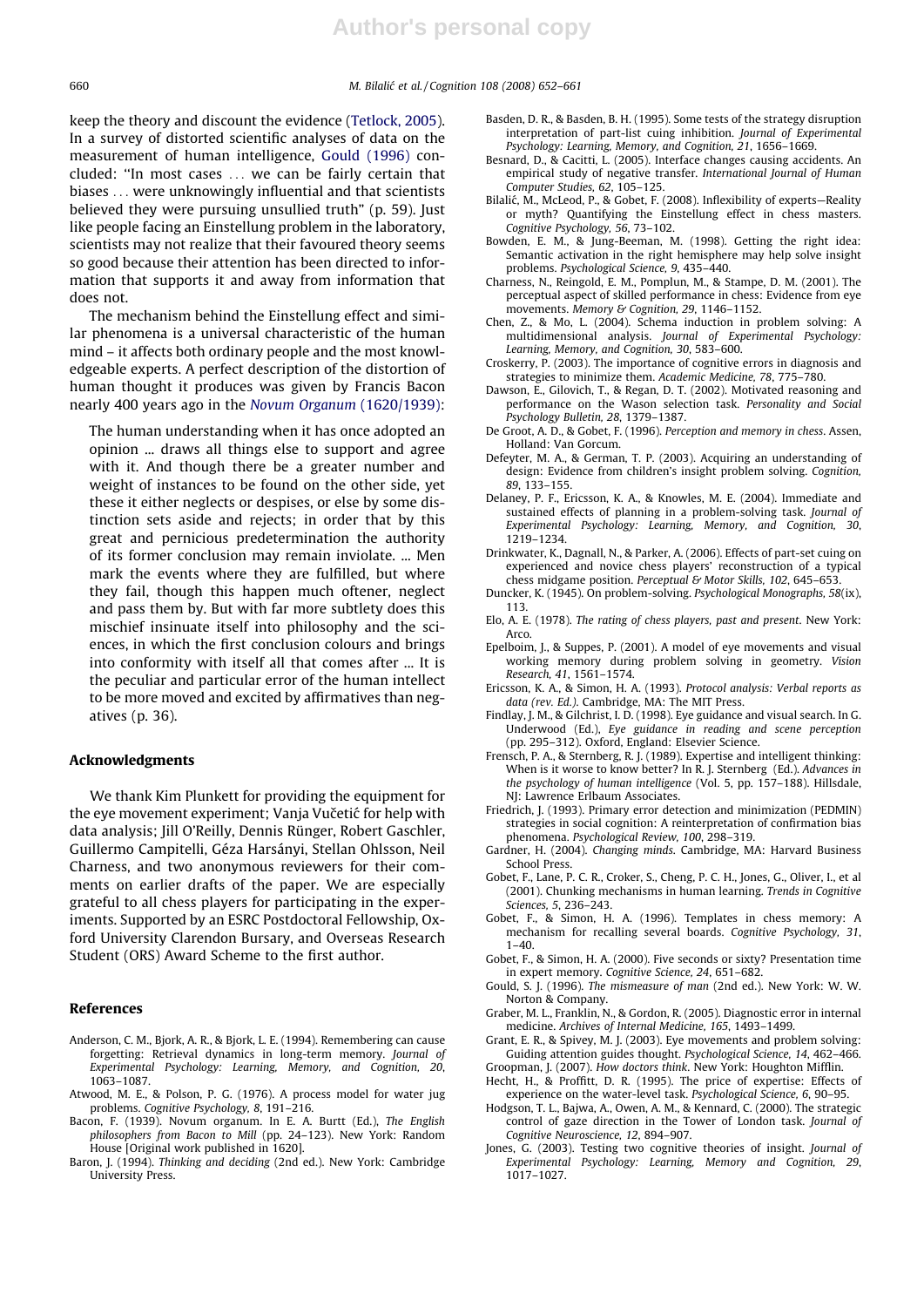660 M. Bilalic´ et al. / Cognition 108 (2008) 652–661

keep the theory and discount the evidence (Tetlock, 2005). In a survey of distorted scientific analyses of data on the measurement of human intelligence, Gould (1996) concluded: ''In most cases ... we can be fairly certain that biases ... were unknowingly influential and that scientists believed they were pursuing unsullied truth" (p. 59). Just like people facing an Einstellung problem in the laboratory, scientists may not realize that their favoured theory seems so good because their attention has been directed to information that supports it and away from information that does not.

The mechanism behind the Einstellung effect and similar phenomena is a universal characteristic of the human mind – it affects both ordinary people and the most knowledgeable experts. A perfect description of the distortion of human thought it produces was given by Francis Bacon nearly 400 years ago in the Novum Organum (1620/1939):

The human understanding when it has once adopted an opinion ... draws all things else to support and agree with it. And though there be a greater number and weight of instances to be found on the other side, yet these it either neglects or despises, or else by some distinction sets aside and rejects; in order that by this great and pernicious predetermination the authority of its former conclusion may remain inviolate. ... Men mark the events where they are fulfilled, but where they fail, though this happen much oftener, neglect and pass them by. But with far more subtlety does this mischief insinuate itself into philosophy and the sciences, in which the first conclusion colours and brings into conformity with itself all that comes after ... It is the peculiar and particular error of the human intellect to be more moved and excited by affirmatives than negatives (p. 36).

## Acknowledgments

We thank Kim Plunkett for providing the equipment for the eye movement experiment; Vanja Vučetić for help with data analysis; Jill O'Reilly, Dennis Rünger, Robert Gaschler, Guillermo Campitelli, Géza Harsányi, Stellan Ohlsson, Neil Charness, and two anonymous reviewers for their comments on earlier drafts of the paper. We are especially grateful to all chess players for participating in the experiments. Supported by an ESRC Postdoctoral Fellowship, Oxford University Clarendon Bursary, and Overseas Research Student (ORS) Award Scheme to the first author.

#### References

- Anderson, C. M., Bjork, A. R., & Bjork, L. E. (1994). Remembering can cause forgetting: Retrieval dynamics in long-term memory. Journal of Experimental Psychology: Learning, Memory, and Cognition, 20, 1063–1087.
- Atwood, M. E., & Polson, P. G. (1976). A process model for water jug problems. Cognitive Psychology, 8, 191–216.
- Bacon, F. (1939). Novum organum. In E. A. Burtt (Ed.), The English philosophers from Bacon to Mill (pp. 24–123). New York: Random House [Original work published in 1620].
- Baron, J. (1994). Thinking and deciding (2nd ed.). New York: Cambridge University Press.
- Basden, D. R., & Basden, B. H. (1995). Some tests of the strategy disruption interpretation of part-list cuing inhibition. Journal of Experimental Psychology: Learning, Memory, and Cognition, 21, 1656–1669.
- Besnard, D., & Cacitti, L. (2005). Interface changes causing accidents. An empirical study of negative transfer. International Journal of Human Computer Studies, 62, 105–125.
- Bilalić, M., McLeod, P., & Gobet, F. (2008). Inflexibility of experts-Reality or myth? Quantifying the Einstellung effect in chess masters. Cognitive Psychology, 56, 73–102.
- Bowden, E. M., & Jung-Beeman, M. (1998). Getting the right idea: Semantic activation in the right hemisphere may help solve insight problems. Psychological Science, 9, 435–440.
- Charness, N., Reingold, E. M., Pomplun, M., & Stampe, D. M. (2001). The perceptual aspect of skilled performance in chess: Evidence from eye movements. Memory & Cognition, 29, 1146-1152.
- Chen, Z., & Mo, L. (2004). Schema induction in problem solving: A multidimensional analysis. Journal of Experimental Psychology: Learning, Memory, and Cognition, 30, 583–600.
- Croskerry, P. (2003). The importance of cognitive errors in diagnosis and strategies to minimize them. Academic Medicine, 78, 775–780.
- Dawson, E., Gilovich, T., & Regan, D. T. (2002). Motivated reasoning and performance on the Wason selection task. Personality and Social Psychology Bulletin, 28, 1379–1387.
- De Groot, A. D., & Gobet, F. (1996). Perception and memory in chess. Assen, Holland: Van Gorcum.
- Defeyter, M. A., & German, T. P. (2003). Acquiring an understanding of design: Evidence from children's insight problem solving. Cognition, 89, 133–155.
- Delaney, P. F., Ericsson, K. A., & Knowles, M. E. (2004). Immediate and sustained effects of planning in a problem-solving task. Journal of Experimental Psychology: Learning, Memory, and Cognition, 30, 1219–1234.
- Drinkwater, K., Dagnall, N., & Parker, A. (2006). Effects of part-set cuing on experienced and novice chess players' reconstruction of a typical chess midgame position. Perceptual & Motor Skills, 102, 645-653.
- Duncker, K. (1945). On problem-solving. Psychological Monographs, 58(ix), 113.
- Elo, A. E. (1978). The rating of chess players, past and present. New York: Arco.
- Epelboim, J., & Suppes, P. (2001). A model of eye movements and visual working memory during problem solving in geometry. Vision Research, 41, 1561–1574.
- Ericsson, K. A., & Simon, H. A. (1993). Protocol analysis: Verbal reports as data (rev. Ed.). Cambridge, MA: The MIT Press.
- Findlay, J. M., & Gilchrist, I. D. (1998). Eye guidance and visual search. In G. Underwood (Ed.), Eye guidance in reading and scene perception (pp. 295–312). Oxford, England: Elsevier Science.
- Frensch, P. A., & Sternberg, R. J. (1989). Expertise and intelligent thinking: When is it worse to know better? In R. J. Sternberg (Ed.). Advances in the psychology of human intelligence (Vol. 5, pp. 157–188). Hillsdale, NJ: Lawrence Erlbaum Associates.
- Friedrich, J. (1993). Primary error detection and minimization (PEDMIN) strategies in social cognition: A reinterpretation of confirmation bias phenomena. Psychological Review, 100, 298–319.
- Gardner, H. (2004). Changing minds. Cambridge, MA: Harvard Business School Press.
- Gobet, F., Lane, P. C. R., Croker, S., Cheng, P. C. H., Jones, G., Oliver, I., et al (2001). Chunking mechanisms in human learning. Trends in Cognitive Sciences, 5, 236–243.
- Gobet, F., & Simon, H. A. (1996). Templates in chess memory: A mechanism for recalling several boards. Cognitive Psychology, 31,  $1-40.$
- Gobet, F., & Simon, H. A. (2000). Five seconds or sixty? Presentation time in expert memory. Cognitive Science, 24, 651–682.
- Gould, S. J. (1996). The mismeasure of man (2nd ed.). New York: W. W. Norton & Company.
- Graber, M. L., Franklin, N., & Gordon, R. (2005). Diagnostic error in internal medicine. Archives of Internal Medicine, 165, 1493–1499.
- Grant, E. R., & Spivey, M. J. (2003). Eye movements and problem solving: Guiding attention guides thought. Psychological Science, 14, 462–466.
- Groopman, J. (2007). How doctors think. New York: Houghton Mifflin. Hecht, H., & Proffitt, D. R. (1995). The price of expertise: Effects of
- experience on the water-level task. Psychological Science, 6, 90–95. Hodgson, T. L., Bajwa, A., Owen, A. M., & Kennard, C. (2000). The strategic control of gaze direction in the Tower of London task. Journal of
- Cognitive Neuroscience, 12, 894–907. Jones, G. (2003). Testing two cognitive theories of insight. Journal of Experimental Psychology: Learning, Memory and Cognition, 29, 1017–1027.